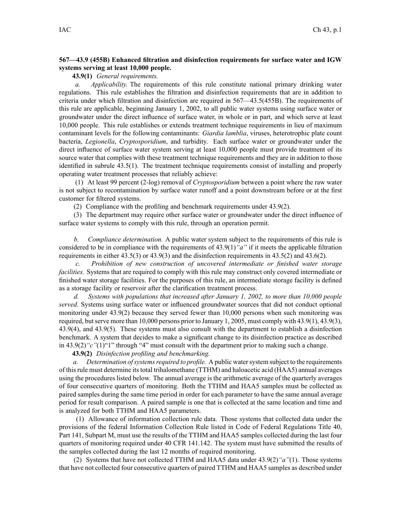## **567—43.9 (455B) Enhanced filtration and disinfection requirements for surface water and IGW systems serving at least 10,000 people.**

**43.9(1)** *General requirements.*

*a. Applicability.* The requirements of this rule constitute national primary drinking water regulations. This rule establishes the filtration and disinfection requirements that are in addition to criteria under which filtration and disinfection are required in 567—43.5(455B). The requirements of this rule are applicable, beginning January 1, 2002, to all public water systems using surface water or groundwater under the direct influence of surface water, in whole or in part, and which serve at least 10,000 people. This rule establishes or extends treatment technique requirements in lieu of maximum contaminant levels for the following contaminants: *Giardia lamblia*, viruses, heterotrophic plate count bacteria, *Legionella*, *Cryptosporidium*, and turbidity. Each surface water or groundwater under the direct influence of surface water system serving at least 10,000 people must provide treatment of its source water that complies with these treatment technique requirements and they are in addition to those identified in subrule 43.5(1). The treatment technique requirements consist of installing and properly operating water treatment processes that reliably achieve:

(1) At least 99 percen<sup>t</sup> (2-log) removal of *Cryptosporidium* between <sup>a</sup> point where the raw water is not subject to recontamination by surface water runoff and <sup>a</sup> point downstream before or at the first customer for filtered systems.

(2) Compliance with the profiling and benchmark requirements under 43.9(2).

(3) The department may require other surface water or groundwater under the direct influence of surface water systems to comply with this rule, through an operation permit.

*b. Compliance determination.* A public water system subject to the requirements of this rule is considered to be in compliance with the requirements of 43.9(1)*"a"* if it meets the applicable filtration requirements in either 43.5(3) or 43.9(3) and the disinfection requirements in 43.5(2) and 43.6(2).

*c. Prohibition of new construction of uncovered intermediate or finished water storage facilities.* Systems that are required to comply with this rule may construct only covered intermediate or finished water storage facilities. For the purposes of this rule, an intermediate storage facility is defined as <sup>a</sup> storage facility or reservoir after the clarification treatment process.

*d. Systems with populations that increased after January 1, 2002, to more than 10,000 people served.* Systems using surface water or influenced groundwater sources that did not conduct optional monitoring under 43.9(2) because they served fewer than 10,000 persons when such monitoring was required, butserve more than 10,000 persons prior to January 1, 2005, must comply with 43.9(1), 43.9(3), 43.9(4), and 43.9(5). These systems must also consult with the department to establish <sup>a</sup> disinfection benchmark. A system that decides to make <sup>a</sup> significant change to its disinfection practice as described in 43.9(2)*"c"*(1)"1" through "4" must consult with the department prior to making such <sup>a</sup> change.

**43.9(2)** *Disinfection profiling and benchmarking.*

*a.* Determination of systems required to profile. A public water system subject to the requirements of thisrule must determine itstotal trihalomethane (TTHM) and haloacetic acid (HAA5) annual averages using the procedures listed below. The annual average is the arithmetic average of the quarterly averages of four consecutive quarters of monitoring. Both the TTHM and HAA5 samples must be collected as paired samples during the same time period in order for each parameter to have the same annual average period for result comparison. A paired sample is one that is collected at the same location and time and is analyzed for both TTHM and HAA5 parameters.

(1) Allowance of information collection rule data. Those systems that collected data under the provisions of the federal Information Collection Rule listed in Code of Federal Regulations Title 40, Part 141, Subpart M, must use the results of the TTHM and HAA5 samples collected during the last four quarters of monitoring required under 40 CFR 141.142. The system must have submitted the results of the samples collected during the last 12 months of required monitoring.

(2) Systems that have not collected TTHM and HAA5 data under 43.9(2)*"a"*(1). Those systems that have not collected four consecutive quarters of paired TTHM and HAA5 samples as described under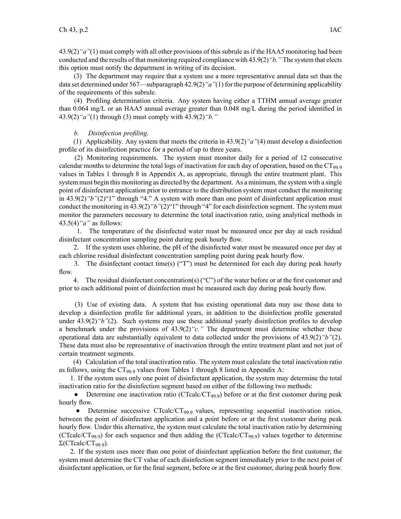43.9(2)*"a"*(1) must comply with all other provisions of this subrule as if the HAA5 monitoring had been conducted and the results of that monitoring required compliance with 43.9(2)*"b."* The system that elects this option must notify the department in writing of its decision.

(3) The department may require that <sup>a</sup> system use <sup>a</sup> more representative annual data set than the data set determined under 567—subparagraph 42.9(2)*"a"*(1) for the purpose of determining applicability of the requirements of this subrule.

(4) Profiling determination criteria. Any system having either <sup>a</sup> TTHM annual average greater than 0.064 mg/L or an HAA5 annual average greater than 0.048 mg/L during the period identified in 43.9(2)*"a"*(1) through (3) must comply with 43.9(2)*"b."*

*b. Disinfection profiling.*

(1) Applicability. Any system that meets the criteria in 43.9(2)*"a"*(4) must develop <sup>a</sup> disinfection profile of its disinfection practice for <sup>a</sup> period of up to three years.

(2) Monitoring requirements. The system must monitor daily for <sup>a</sup> period of 12 consecutive calendar months to determine the total logs of inactivation for each day of operation, based on the CT<sub>99.9</sub> values in Tables 1 through 8 in Appendix A, as appropriate, through the entire treatment plant. This system must begin this monitoring as directed by the department. As <sup>a</sup> minimum, the system with <sup>a</sup> single point of disinfectant application prior to entrance to the distribution system must conduct the monitoring in 43.9(2)*"b"*(2)"1" through "4." A system with more than one point of disinfectant application must conduct the monitoring in 43.9(2)*"b"*(2)"1" through "4" for each disinfection segment. The system must monitor the parameters necessary to determine the total inactivation ratio, using analytical methods in 43.5(4)*"a"* as follows:

1. The temperature of the disinfected water must be measured once per day at each residual disinfectant concentration sampling point during peak hourly flow.

2. If the system uses chlorine, the pH of the disinfected water must be measured once per day at each chlorine residual disinfectant concentration sampling point during peak hourly flow.

3. The disinfectant contact time(s) ("T") must be determined for each day during peak hourly flow.

4. The residual disinfectant concentration(s) ("C") of the water before or at the first customer and prior to each additional point of disinfection must be measured each day during peak hourly flow.

(3) Use of existing data. A system that has existing operational data may use those data to develop <sup>a</sup> disinfection profile for additional years, in addition to the disinfection profile generated under 43.9(2)<sup>*"b"*(2)</sup>. Such systems may use these additional yearly disinfection profiles to develop <sup>a</sup> benchmark under the provisions of 43.9(2)*"c."* The department must determine whether these operational data are substantially equivalent to data collected under the provisions of 43.9(2)*"b"*(2). These data must also be representative of inactivation through the entire treatment plant and not just of certain treatment segments.

(4) Calculation of the total inactivation ratio. The system must calculate the total inactivation ratio as follows, using the  $CT_{99.9}$  values from Tables 1 through 8 listed in Appendix A:

1. If the system uses only one point of disinfectant application, the system may determine the total inactivation ratio for the disinfection segmen<sup>t</sup> based on either of the following two methods:

 $\bullet$ Determine one inactivation ratio (CTcalc/CT<sub>99.9</sub>) before or at the first customer during peak hourly flow.

• Determine successive CTcalc/CT<sub>99.9</sub> values, representing sequential inactivation ratios, between the point of disinfectant application and <sup>a</sup> point before or at the first customer during peak hourly flow. Under this alternative, the system must calculate the total inactivation ratio by determining (CTcalc/CT<sub>99.9</sub>) for each sequence and then adding the (CTcalc/CT<sub>99.9</sub>) values together to determine  $Σ(CTealc/CT<sub>99.9</sub>)$ .

2. If the system uses more than one point of disinfectant application before the first customer, the system must determine the CT value of each disinfection segmen<sup>t</sup> immediately prior to the next point of disinfectant application, or for the final segment, before or at the first customer, during peak hourly flow.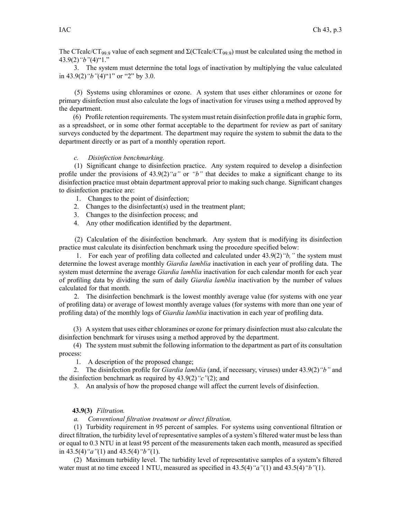The CTcalc/CT<sub>99.9</sub> value of each segment and  $\Sigma$ (CTcalc/CT<sub>99.9</sub>) must be calculated using the method in 43.9(2)*"b"*(4)"1."

3. The system must determine the total logs of inactivation by multiplying the value calculated in 43.9(2)*"b"*(4)"1" or "2" by 3.0.

(5) Systems using chloramines or ozone. A system that uses either chloramines or ozone for primary disinfection must also calculate the logs of inactivation for viruses using <sup>a</sup> method approved by the department.

(6) Profile retention requirements. The system must retain disinfection profile data in graphic form, as <sup>a</sup> spreadsheet, or in some other format acceptable to the department for review as par<sup>t</sup> of sanitary surveys conducted by the department. The department may require the system to submit the data to the department directly or as par<sup>t</sup> of <sup>a</sup> monthly operation report.

## *c. Disinfection benchmarking.*

(1) Significant change to disinfection practice. Any system required to develop <sup>a</sup> disinfection profile under the provisions of 43.9(2)*"a"* or *"b"* that decides to make <sup>a</sup> significant change to its disinfection practice must obtain department approval prior to making such change. Significant changes to disinfection practice are:

- 1. Changes to the point of disinfection;
- 2. Changes to the disinfectant(s) used in the treatment plant;
- 3. Changes to the disinfection process; and
- 4. Any other modification identified by the department.

(2) Calculation of the disinfection benchmark. Any system that is modifying its disinfection practice must calculate its disinfection benchmark using the procedure specified below:

1. For each year of profiling data collected and calculated under 43.9(2)*"b,"* the system must determine the lowest average monthly *Giardia lamblia* inactivation in each year of profiling data. The system must determine the average *Giardia lamblia* inactivation for each calendar month for each year of profiling data by dividing the sum of daily *Giardia lamblia* inactivation by the number of values calculated for that month.

2. The disinfection benchmark is the lowest monthly average value (for systems with one year of profiling data) or average of lowest monthly average values (for systems with more than one year of profiling data) of the monthly logs of *Giardia lamblia* inactivation in each year of profiling data.

(3) A system that uses either chloramines or ozone for primary disinfection must also calculate the disinfection benchmark for viruses using <sup>a</sup> method approved by the department.

(4) The system must submit the following information to the department as par<sup>t</sup> of its consultation process:

1. A description of the proposed change;

2. The disinfection profile for *Giardia lamblia* (and, if necessary, viruses) under 43.9(2)*"b"* and the disinfection benchmark as required by 43.9(2)*"c"*(2); and

3. An analysis of how the proposed change will affect the current levels of disinfection.

## **43.9(3)** *Filtration.*

*a. Conventional filtration treatment or direct filtration.*

(1) Turbidity requirement in 95 percen<sup>t</sup> of samples. For systems using conventional filtration or direct filtration, the turbidity level of representative samples of <sup>a</sup> system's filtered water must be less than or equal to 0.3 NTU in at least 95 percen<sup>t</sup> of the measurements taken each month, measured as specified in 43.5(4)*"a"*(1) and 43.5(4)*"b"*(1).

(2) Maximum turbidity level. The turbidity level of representative samples of <sup>a</sup> system's filtered water must at no time exceed 1 NTU, measured as specified in 43.5(4)*"a"*(1) and 43.5(4)*"b"*(1).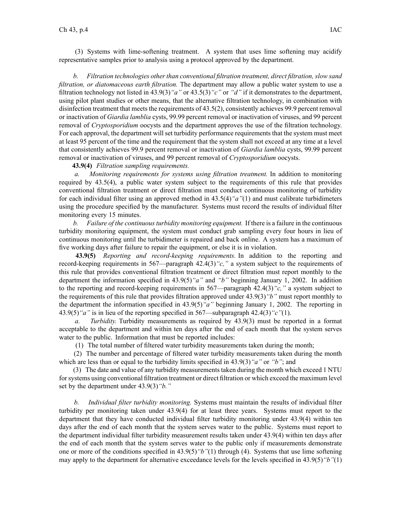(3) Systems with lime-softening treatment. A system that uses lime softening may acidify representative samples prior to analysis using <sup>a</sup> protocol approved by the department.

*b.* Filtration *technologies other than conventional filtration treatment, direct filtration, slow sand filtration, or diatomaceous earth filtration.* The department may allow <sup>a</sup> public water system to use <sup>a</sup> filtration technology not listed in 43.9(3)*"a"* or 43.5(3)*"c"* or *"d"* if it demonstrates to the department, using pilot plant studies or other means, that the alternative filtration technology, in combination with disinfection treatment that meets the requirements of  $43.5(2)$ , consistently achieves 99.9 percent removal or inactivation of *Giardia lamblia* cysts, 99.99 percen<sup>t</sup> removal or inactivation of viruses, and 99 percen<sup>t</sup> removal of *Cryptosporidium* oocysts and the department approves the use of the filtration technology. For each approval, the department will set turbidity performance requirements that the system must meet at least 95 percen<sup>t</sup> of the time and the requirement that the system shall not exceed at any time at <sup>a</sup> level that consistently achieves 99.9 percen<sup>t</sup> removal or inactivation of *Giardia lamblia* cysts, 99.99 percen<sup>t</sup> removal or inactivation of viruses, and 99 percen<sup>t</sup> removal of *Cryptosporidium* oocysts.

**43.9(4)** *Filtration sampling requirements.*

*a. Monitoring requirements for systems using filtration treatment.* In addition to monitoring required by 43.5(4), <sup>a</sup> public water system subject to the requirements of this rule that provides conventional filtration treatment or direct filtration must conduct continuous monitoring of turbidity for each individual filter using an approved method in 43.5(4)*"a"*(1) and must calibrate turbidimeters using the procedure specified by the manufacturer. Systems must record the results of individual filter monitoring every 15 minutes.

*b. Failure of the continuousturbidity monitoring equipment.* If there is <sup>a</sup> failure in the continuous turbidity monitoring equipment, the system must conduct grab sampling every four hours in lieu of continuous monitoring until the turbidimeter is repaired and back online. A system has <sup>a</sup> maximum of five working days after failure to repair the equipment, or else it is in violation.

**43.9(5)** *Reporting and record-keeping requirements.* In addition to the reporting and record-keeping requirements in 567—paragraph 42.4(3)*"c,"* <sup>a</sup> system subject to the requirements of this rule that provides conventional filtration treatment or direct filtration must repor<sup>t</sup> monthly to the department the information specified in 43.9(5)*"a"* and *"b"* beginning January 1, 2002. In addition to the reporting and record-keeping requirements in 567—paragraph 42.4(3)*"c,"* <sup>a</sup> system subject to the requirements of this rule that provides filtration approved under 43.9(3)*"b"* must repor<sup>t</sup> monthly to the department the information specified in 43.9(5)*"a"* beginning January 1, 2002. The reporting in 43.9(5)*"a"* is in lieu of the reporting specified in 567—subparagraph 42.4(3)*"c"*(1).

*a. Turbidity.* Turbidity measurements as required by 43.9(3) must be reported in <sup>a</sup> format acceptable to the department and within ten days after the end of each month that the system serves water to the public. Information that must be reported includes:

(1) The total number of filtered water turbidity measurements taken during the month;

(2) The number and percentage of filtered water turbidity measurements taken during the month which are less than or equal to the turbidity limits specified in 43.9(3)*"a"* or *"b"*; and

(3) The date and value of any turbidity measurementstaken during the month which exceed 1 NTU forsystems using conventional filtration treatment or direct filtration or which exceed the maximum level set by the department under 43.9(3)*"b."*

*b. Individual filter turbidity monitoring.* Systems must maintain the results of individual filter turbidity per monitoring taken under 43.9(4) for at least three years. Systems must repor<sup>t</sup> to the department that they have conducted individual filter turbidity monitoring under 43.9(4) within ten days after the end of each month that the system serves water to the public. Systems must repor<sup>t</sup> to the department individual filter turbidity measurement results taken under 43.9(4) within ten days after the end of each month that the system serves water to the public only if measurements demonstrate one or more of the conditions specified in 43.9(5)*"b"*(1) through (4). Systems that use lime softening may apply to the department for alternative exceedance levels for the levels specified in 43.9(5)*"b"*(1)